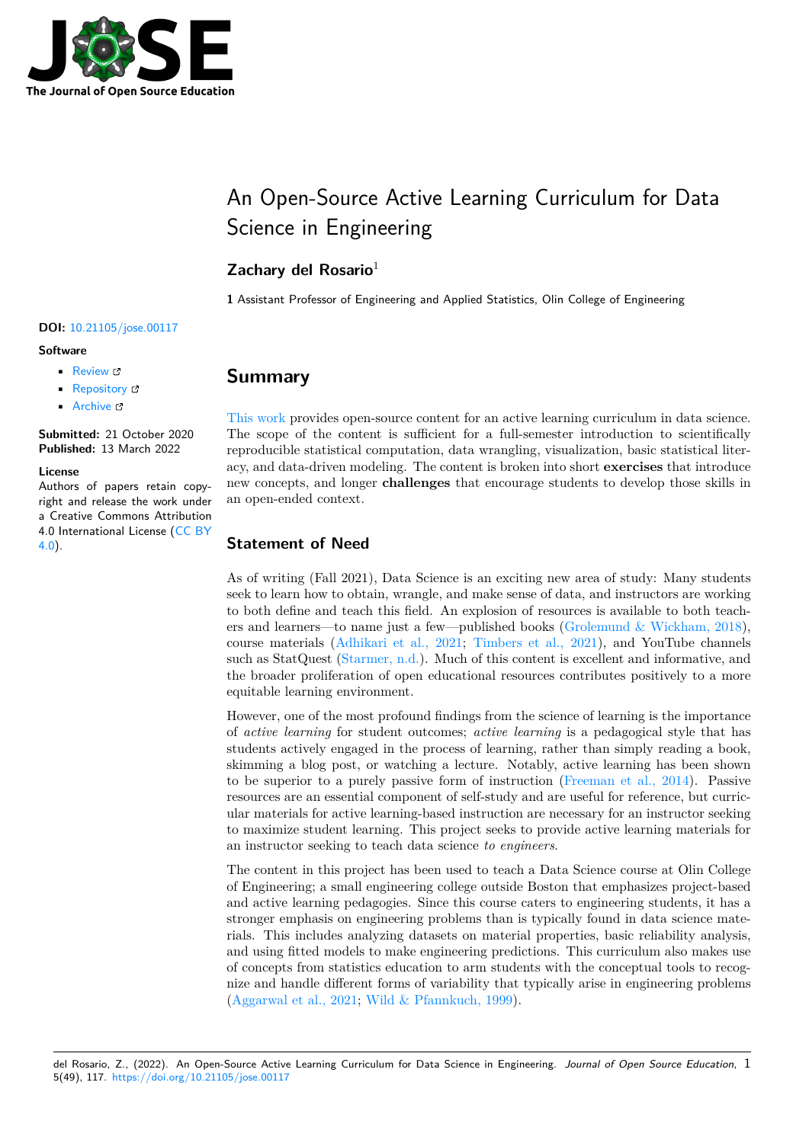

# An Open-Source Active Learning Curriculum for Data Science in Engineering

## **Zachary del Rosario**<sup>1</sup>

**1** Assistant Professor of Engineering and Applied Statistics, Olin College of Engineering

#### **DOI:** 10.21105/jose.00117

#### **Software**

- Review C
- [Repository](https://doi.org/10.21105/jose.00117) &
- Archive C

**Subm[itted:](https://github.com/openjournals/jose-reviews/issues/117)** 21 October 2020 **Published:** [13 M](https://github.com/zdelrosario/data-science-curriculum)arch 2022

#### **Licen[se](https://doi.org/10.5281/zenodo.6314141)**

Authors of papers retain copyright and release the work under a Creative Commons Attribution 4.0 International License (CC BY 4.0).

# **Summary**

This work provides open-source content for an active learning curriculum in data science. The scope of the content is sufficient for a full-semester introduction to scientifically reproducible statistical computation, data wrangling, visualization, basic statistical literacy, and data-driven modeling. The content is broken into short **exercises** that introduce [new conce](https://github.com/zdelrosario/data-science-curriculum)pts, and longer **challenges** that encourage students to develop those skills in an open-ended context.

#### **Statement of Need**

As of writing (Fall 2021), Data Science is an exciting new area of study: Many students seek to learn how to obtain, wrangle, and make sense of data, and instructors are working to both define and teach this field. An explosion of resources is available to both teachers and learners—to name just a few—published books (Grolemund & Wickham, 2018), course materials (Adhikari et al., 2021; Timbers et al., 2021), and YouTube channels such as StatQuest (Starmer, n.d.). Much of this content is excellent and informative, and the broader proliferation of open educational resources contributes positively to a more equitable learning environment.

However, one of t[he most profound findin](#page-4-0)[gs from the science of l](#page-5-0)earning is the importance of *active learning* f[or student ou](#page-5-1)tcomes; *active learning* is a pedagogical style that has students actively engaged in the process of learning, rather than simply reading a book, skimming a blog post, or watching a lecture. Notably, active learning has been shown to be superior to a purely passive form of instruction (Freeman et al., 2014). Passive resources are an essential component of self-study and are useful for reference, but curricular materials for active learning-based instruction are necessary for an instructor seeking to maximize student learning. This project seeks to provide active learning materials for an instructor seeking to teach data science *to engineers*.

The content in this project has been used to teach a Data Science course at Olin College of Engineering; a small engineering college outside Boston that emphasizes project-based and active learning pedagogies. Since this course caters to engineering students, it has a stronger emphasis on engineering problems than is typically found in data science materials. This includes analyzing datasets on material properties, basic reliability analysis, and using fitted models to make engineering predictions. This curriculum also makes use of concepts from statistics education to arm students with the conceptual tools to recognize and handle different forms of variability that typically arise in engineering problems (Aggarwal et al., 2021; Wild & Pfannkuch, 1999).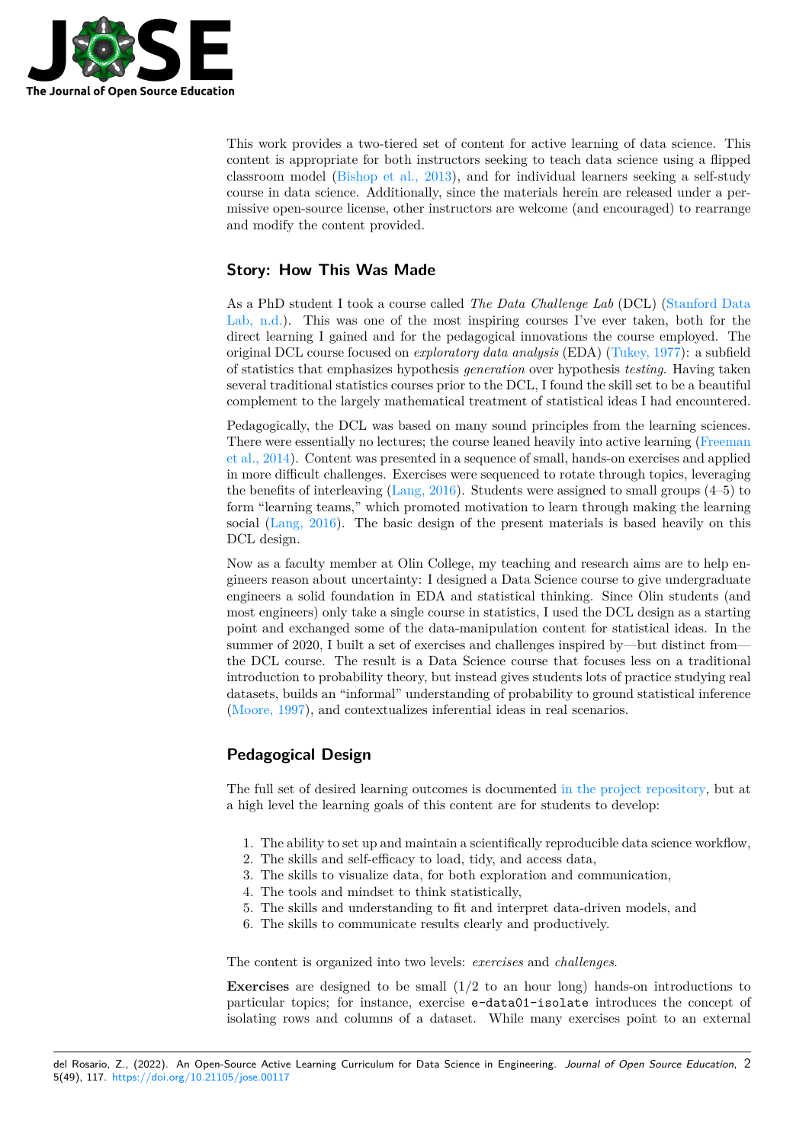

This work provides a two-tiered set of content for active learning of data science. This content is appropriate for both instructors seeking to teach data science using a flipped classroom model (Bishop et al., 2013), and for individual learners seeking a self-study course in data science. Additionally, since the materials herein are released under a permissive open-source license, other instructors are welcome (and encouraged) to rearrange and modify the content provided.

## **Story: How This Was Made**

As a PhD student I took a course called *The Data Challenge Lab* (DCL) (Stanford Data Lab, n.d.). This was one of the most inspiring courses I've ever taken, both for the direct learning I gained and for the pedagogical innovations the course employed. The original DCL course focused on *exploratory data analysis* (EDA) (Tukey, 1977): a subfield of statistics that emphasizes hypothesis *generation* over hypothesis *testing*. [Having taken](#page-5-3) [several tra](#page-5-3)ditional statistics courses prior to the DCL, I found the skill set to be a beautiful complement to the largely mathematical treatment of statistical ideas I had encountered.

Pedagogically, the DCL was based on many sound principles fro[m the learni](#page-5-4)ng sciences. There were essentially no lectures; the course leaned heavily into active learning (Freeman et al., 2014). Content was presented in a sequence of small, hands-on exercises and applied in more difficult challenges. Exercises were sequenced to rotate through topics, leveraging the benefits of interleaving (Lang, 2016). Students were assigned to small groups (4–5) to form "learning teams," which promoted motivation to learn through making the [learning](#page-4-2) [social \(Lan](#page-4-2)g, 2016). The basic design of the present materials is based heavily on this DCL design.

Now as a faculty member a[t Olin Colle](#page-5-5)ge, my teaching and research aims are to help engineers reason about uncertainty: I designed a Data Science course to give undergraduate enginee[rs a solid fo](#page-5-5)undation in EDA and statistical thinking. Since Olin students (and most engineers) only take a single course in statistics, I used the DCL design as a starting point and exchanged some of the data-manipulation content for statistical ideas. In the summer of 2020, I built a set of exercises and challenges inspired by—but distinct from the DCL course. The result is a Data Science course that focuses less on a traditional introduction to probability theory, but instead gives students lots of practice studying real datasets, builds an "informal" understanding of probability to ground statistical inference (Moore, 1997), and contextualizes inferential ideas in real scenarios.

## **Pedagogical Design**

[The full set o](#page-5-6)f desired learning outcomes is documented in the project repository, but at a high level the learning goals of this content are for students to develop:

- 1. The ability to set up and maintain a scientifically re[producible data science wo](https://github.com/zdelrosario/data-science-curriculum/blob/master/curriculum.md)rkflow,
- 2. The skills and self-efficacy to load, tidy, and access data,
- 3. The skills to visualize data, for both exploration and communication,
- 4. The tools and mindset to think statistically,
- 5. The skills and understanding to fit and interpret data-driven models, and
- 6. The skills to communicate results clearly and productively.

The content is organized into two levels: *exercises* and *challenges*.

**Exercises** are designed to be small (1/2 to an hour long) hands-on introductions to particular topics; for instance, exercise e-data01-isolate introduces the concept of isolating rows and columns of a dataset. While many exercises point to an external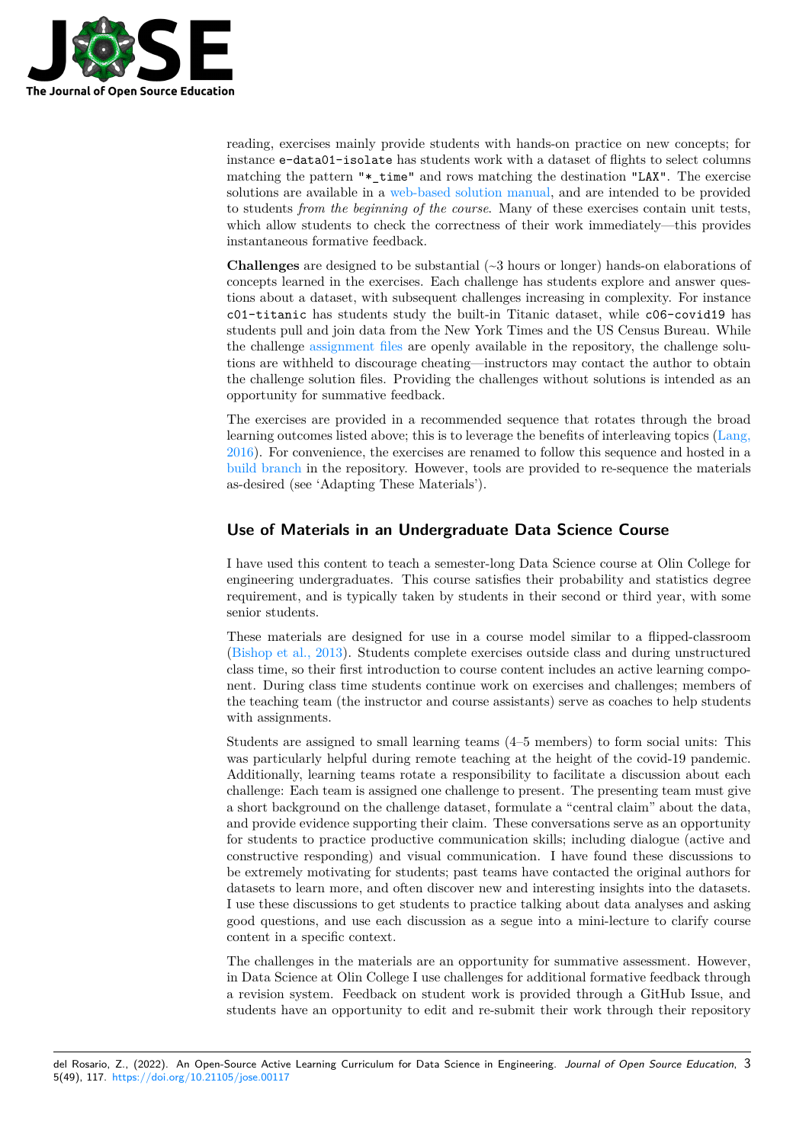

reading, exercises mainly provide students with hands-on practice on new concepts; for instance e-data01-isolate has students work with a dataset of flights to select columns matching the pattern "\*\_time" and rows matching the destination "LAX". The exercise solutions are available in a web-based solution manual, and are intended to be provided to students *from the beginning of the course*. Many of these exercises contain unit tests, which allow students to check the correctness of their work immediately—this provides instantaneous formative feedback.

**Challenges** are designed t[o be substantial \(~3 hours o](https://zdelrosario.github.io/data-science-curriculum/index.html)r longer) hands-on elaborations of concepts learned in the exercises. Each challenge has students explore and answer questions about a dataset, with subsequent challenges increasing in complexity. For instance c01-titanic has students study the built-in Titanic dataset, while c06-covid19 has students pull and join data from the New York Times and the US Census Bureau. While the challenge assignment files are openly available in the repository, the challenge solutions are withheld to discourage cheating—instructors may contact the author to obtain the challenge solution files. Providing the challenges without solutions is intended as an opportunity for summative feedback.

The exercises [are provided in](https://github.com/zdelrosario/data-science-curriculum/tree/build/challenges) a recommended sequence that rotates through the broad learning outcomes listed above; this is to leverage the benefits of interleaving topics (Lang, 2016). For convenience, the exercises are renamed to follow this sequence and hosted in a build branch in the repository. However, tools are provided to re-sequence the materials as-desired (see 'Adapting These Materials').

### **[Use of Ma](https://github.com/zdelrosario/data-science-curriculum/tree/build/exercises_sequenced)terials in an Undergraduate Data Science Course**

I have used this content to teach a semester-long Data Science course at Olin College for engineering undergraduates. This course satisfies their probability and statistics degree requirement, and is typically taken by students in their second or third year, with some senior students.

These materials are designed for use in a course model similar to a flipped-classroom (Bishop et al., 2013). Students complete exercises outside class and during unstructured class time, so their first introduction to course content includes an active learning component. During class time students continue work on exercises and challenges; members of the teaching team (the instructor and course assistants) serve as coaches to help students [with assignments.](#page-4-3)

Students are assigned to small learning teams (4–5 members) to form social units: This was particularly helpful during remote teaching at the height of the covid-19 pandemic. Additionally, learning teams rotate a responsibility to facilitate a discussion about each challenge: Each team is assigned one challenge to present. The presenting team must give a short background on the challenge dataset, formulate a "central claim" about the data, and provide evidence supporting their claim. These conversations serve as an opportunity for students to practice productive communication skills; including dialogue (active and constructive responding) and visual communication. I have found these discussions to be extremely motivating for students; past teams have contacted the original authors for datasets to learn more, and often discover new and interesting insights into the datasets. I use these discussions to get students to practice talking about data analyses and asking good questions, and use each discussion as a segue into a mini-lecture to clarify course content in a specific context.

The challenges in the materials are an opportunity for summative assessment. However, in Data Science at Olin College I use challenges for additional formative feedback through a revision system. Feedback on student work is provided through a GitHub Issue, and students have an opportunity to edit and re-submit their work through their repository

del Rosario, Z., (2022). An Open-Source Active Learning Curriculum for Data Science in Engineering. *Journal of Open Source Education*, 35(49), 117. https://doi.org/10.21105/jose.00117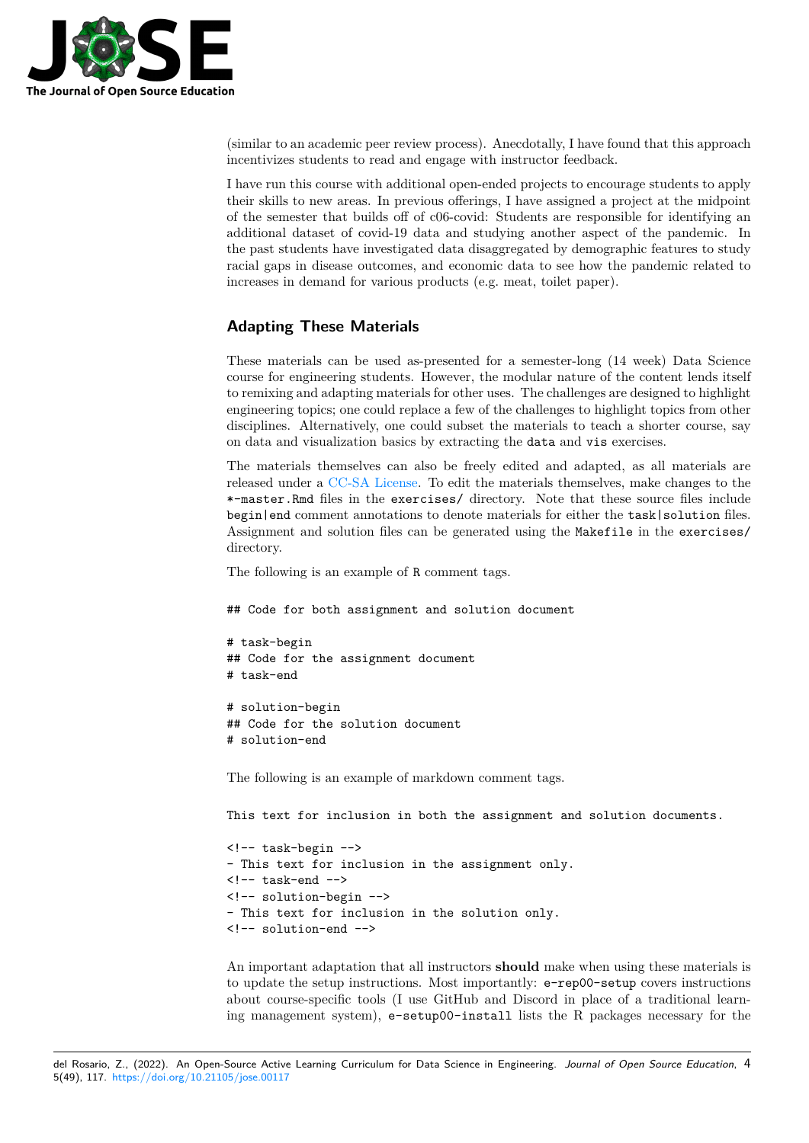

(similar to an academic peer review process). Anecdotally, I have found that this approach incentivizes students to read and engage with instructor feedback.

I have run this course with additional open-ended projects to encourage students to apply their skills to new areas. In previous offerings, I have assigned a project at the midpoint of the semester that builds off of c06-covid: Students are responsible for identifying an additional dataset of covid-19 data and studying another aspect of the pandemic. In the past students have investigated data disaggregated by demographic features to study racial gaps in disease outcomes, and economic data to see how the pandemic related to increases in demand for various products (e.g. meat, toilet paper).

#### **Adapting These Materials**

These materials can be used as-presented for a semester-long (14 week) Data Science course for engineering students. However, the modular nature of the content lends itself to remixing and adapting materials for other uses. The challenges are designed to highlight engineering topics; one could replace a few of the challenges to highlight topics from other disciplines. Alternatively, one could subset the materials to teach a shorter course, say on data and visualization basics by extracting the data and vis exercises.

The materials themselves can also be freely edited and adapted, as all materials are released under a CC-SA License. To edit the materials themselves, make changes to the \*-master.Rmd files in the exercises/ directory. Note that these source files include begin|end comment annotations to denote materials for either the task|solution files. Assignment and solution files can be generated using the Makefile in the exercises/ directory.

The following is an example of R comment tags.

## Code for both assignment and solution document

```
# task-begin
## Code for the assignment document
# task-end
```
# solution-begin ## Code for the solution document # solution-end

The following is an example of markdown comment tags.

This text for inclusion in both the assignment and solution documents.

```
<!-- task-begin -->
- This text for inclusion in the assignment only.
\leftarrow -- task-end -->
<!-- solution-begin -->
- This text for inclusion in the solution only.
<!-- solution-end -->
```
An important adaptation that all instructors **should** make when using these materials is to update the setup instructions. Most importantly: e-rep00-setup covers instructions about course-specific tools (I use GitHub and Discord in place of a traditional learning management system), e-setup00-install lists the R packages necessary for the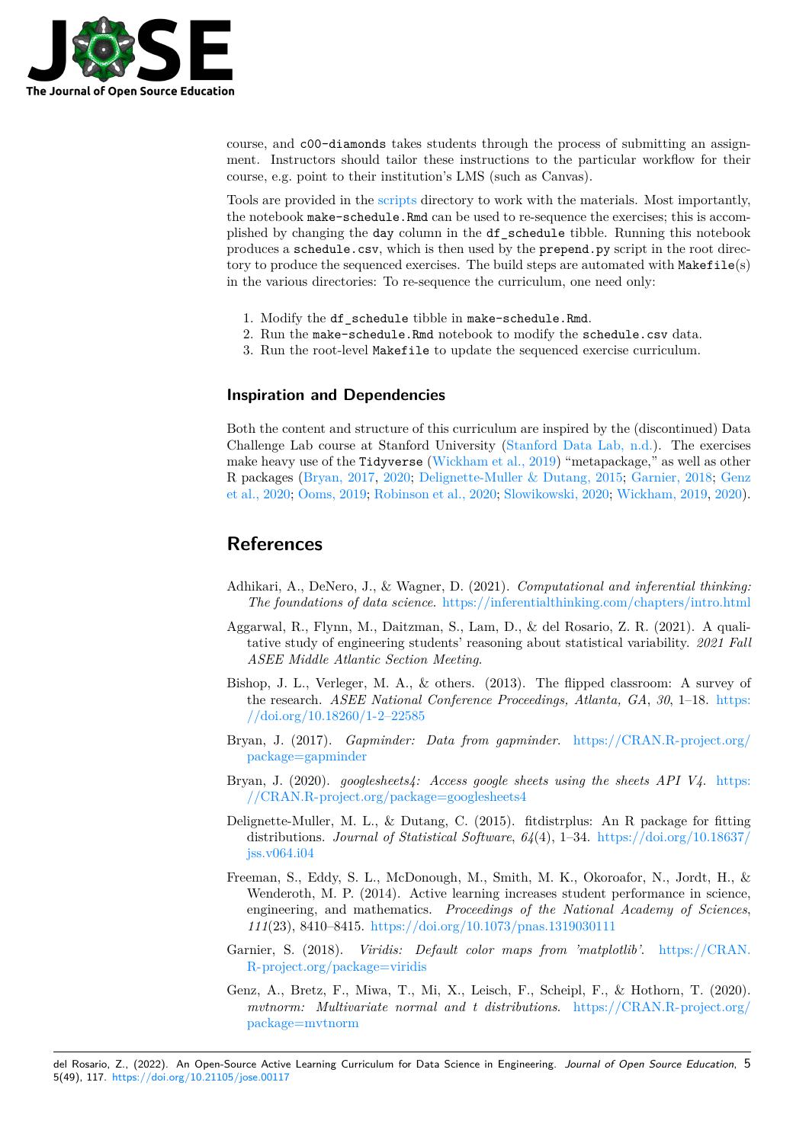

course, and c00-diamonds takes students through the process of submitting an assignment. Instructors should tailor these instructions to the particular workflow for their course, e.g. point to their institution's LMS (such as Canvas).

Tools are provided in the scripts directory to work with the materials. Most importantly, the notebook make-schedule.Rmd can be used to re-sequence the exercises; this is accomplished by changing the day column in the df\_schedule tibble. Running this notebook produces a schedule.csv, which is then used by the prepend.py script in the root directory to produce the seque[nced ex](https://github.com/zdelrosario/data-science-curriculum/tree/master/scripts)ercises. The build steps are automated with Makefile(s) in the various directories: To re-sequence the curriculum, one need only:

- 1. Modify the df schedule tibble in make-schedule.Rmd.
- 2. Run the make-schedule.Rmd notebook to modify the schedule.csv data.
- 3. Run the root-level Makefile to update the sequenced exercise curriculum.

#### **Inspiration and Dependencies**

Both the content and structure of this curriculum are inspired by the (discontinued) Data Challenge Lab course at Stanford University (Stanford Data Lab, n.d.). The exercises make heavy use of the Tidyverse (Wickham et al., 2019) "metapackage," as well as other R packages (Bryan, 2017, 2020; Delignette-Muller & Dutang, 2015; Garnier, 2018; Genz et al., 2020; Ooms, 2019; Robinson et al., 2020; Slowikowski, 2020; Wickham, 2019, 2020).

# **[Referen](#page-4-5)[ces](#page-4-4)**

- Adhikari, A., DeNero, J., & Wagner, D. (2021). *Computational and inferential thinking: The foundations of data science*. https://inferentialthinking.com/chapters/intro.html
- <span id="page-4-0"></span>Aggarwal, R., Flynn, M., Daitzman, S., Lam, D., & del Rosario, Z. R. (2021). A qualitative study of engineering students' reasoning about statistical variability. *2021 Fall ASEE Middle Atlantic Section Meeting*.
- <span id="page-4-1"></span>Bishop, J. L., Verleger, M. A., & o[thers. \(2013\). The flipped classroom: A survey of](https://inferentialthinking.com/chapters/intro.html) the research. *ASEE National Conference Proceedings, Atlanta, GA*, *30*, 1–18. https: //doi.org/10.18260/1-2–22585
- Bryan, J. (2017). *Gapminder: Data from gapminder*. https://CRAN.R-project.org/ package=gapminder
- <span id="page-4-3"></span>Bryan, J. (2020). *[googlesheets4:](https://doi.org/10.18260/1-2–22585) Access google sheets using the sheets API V4*. [https:](https://doi.org/10.18260/1-2–22585) //CRAN.R-project.org/package=googlesheets4
- <span id="page-4-4"></span>Del[ignette-Muller, M. L](https://CRAN.R-project.org/package=gapminder)., & Dutang, C. (2015). fitdistrp[lus: An R package for fitting](https://CRAN.R-project.org/package=gapminder) distributions. *Journal of Statistical Software*, *64*(4), 1–34. https://doi.org/10.[18637/](https://CRAN.R-project.org/package=googlesheets4) jss.v064.i04
- Fre[eman, S., Eddy, S. L., McDonough, M., Smith](https://CRAN.R-project.org/package=googlesheets4), M. K., Okoroafor, N., Jordt, H., & Wenderoth, M. P. (2014). Active learning increases student performance in science, engineering, and mathematics. *Proceedings of the Natio[nal Academy of Sciences](https://doi.org/10.18637/jss.v064.i04)*, *111*[\(23\), 841](https://doi.org/10.18637/jss.v064.i04)0–8415. https://doi.org/10.1073/pnas.1319030111
- <span id="page-4-2"></span>Garnier, S. (2018). *Viridis: Default color maps from 'matplotlib'*. https://CRAN. R-project.org/package=viridis
- <span id="page-4-5"></span>Genz, A., Bretz, F., M[iwa, T., Mi, X., Leisch, F., Scheipl, F., &](https://doi.org/10.1073/pnas.1319030111) Hothorn, T. (2020). *mvtnorm: Multivariate normal and t distributions*. https://CRA[N.R-project.org/](https://CRAN.R-project.org/package=viridis) [package=mvtnorm](https://CRAN.R-project.org/package=viridis)